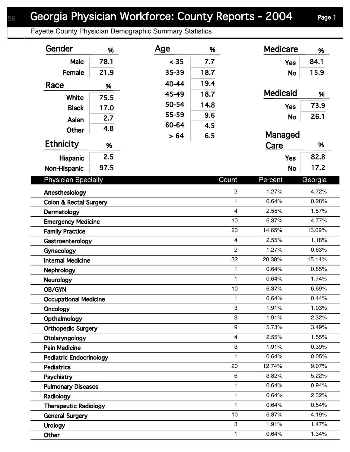## Georgia Physician Workforce: County Reports - 2004 Page 1

Fayette County Physician Demographic Summary Statistics

| Gender                            | %    | Age   | %            |                | <b>Medicare</b> | %      |
|-----------------------------------|------|-------|--------------|----------------|-----------------|--------|
| Male                              | 78.1 | < 35  | 7.7          |                | <b>Yes</b>      | 84.1   |
| Female                            | 21.9 | 35-39 | 18.7         |                | <b>No</b>       | 15.9   |
| Race                              | %    | 40-44 | 19.4         |                |                 |        |
|                                   |      | 45-49 | 18.7         |                | <b>Medicaid</b> | %      |
| White                             | 75.5 | 50-54 | 14.8         |                |                 | 73.9   |
| <b>Black</b>                      | 17.0 | 55-59 | 9.6          |                | <b>Yes</b>      |        |
| Asian                             | 2.7  | 60-64 | 4.5          |                | <b>No</b>       | 26.1   |
| Other                             | 4.8  | > 64  | 6.5          |                | Managed         |        |
| <b>Ethnicity</b>                  | %    |       |              |                | Care            | %      |
| <b>Hispanic</b>                   | 2.5  |       |              |                | <b>Yes</b>      | 82.8   |
|                                   | 97.5 |       |              |                |                 | 17.2   |
| Non-Hispanic                      |      |       |              |                | <b>No</b>       |        |
| <b>Physician Specialty</b>        |      |       | Count        | Percent        | Georgia         |        |
| $\overline{c}$<br>Anesthesiology  |      |       |              |                | 1.27%           | 4.72%  |
| <b>Colon &amp; Rectal Surgery</b> |      |       | $\mathbf{1}$ | 0.64%          | 0.28%           |        |
| Dermatology                       |      |       |              | $\overline{4}$ | 2.55%           | 1.57%  |
| <b>Emergency Medicine</b>         |      |       | 10           | 6.37%          | 4.77%           |        |
| <b>Family Practice</b>            |      |       | 23           | 14.65%         | 13.09%          |        |
| Gastroenterology                  |      |       |              | $\overline{4}$ | 2.55%           | 1.18%  |
| Gynecology                        |      |       |              | $\overline{c}$ | 1.27%           | 0.63%  |
| <b>Internal Medicine</b>          |      |       |              | 32             | 20.38%          | 15.14% |
| <b>Nephrology</b>                 |      |       |              | $\mathbf{1}$   | 0.64%           | 0.85%  |
| <b>Neurology</b>                  |      |       |              | $\mathbf{1}$   | 0.64%           | 1.74%  |
| <b>OB/GYN</b>                     |      |       |              | 10             | 6.37%           | 6.69%  |
| <b>Occupational Medicine</b>      |      |       |              | 1              | 0.64%           | 0.44%  |
| Oncology                          |      |       |              | 3              | 1.91%           | 1.03%  |
| Opthalmology                      |      |       | 3            | 1.91%          | 2.32%           |        |
| <b>Orthopedic Surgery</b>         |      |       |              | 9              | 5.73%           | 3.49%  |
| Otolaryngology                    |      |       |              | $\overline{4}$ | 2.55%           | 1.55%  |
| <b>Pain Medicine</b>              |      |       |              | 3              | 1.91%           | 0.39%  |
| <b>Pediatric Endocrinology</b>    |      |       |              | $\mathbf{1}$   | 0.64%           | 0.05%  |
| <b>Pediatrics</b>                 |      |       |              | 20             | 12.74%          | 9.07%  |
| Psychiatry                        |      |       |              | 6              | 3.82%           | 5.22%  |
| <b>Pulmonary Diseases</b>         |      |       |              | 1              | 0.64%           | 0.94%  |
| Radiology                         |      |       | $\mathbf{1}$ | 0.64%          | 2.32%           |        |
| <b>Therapeutic Radiology</b>      |      |       | 1            | 0.64%          | 0.54%           |        |
| <b>General Surgery</b>            |      |       | 10           | 6.37%          | 4.19%           |        |
| <b>Urology</b>                    |      |       |              | 3              | 1.91%           | 1.47%  |
| Other                             |      |       |              | $\mathbf{1}$   | 0.64%           | 1.34%  |